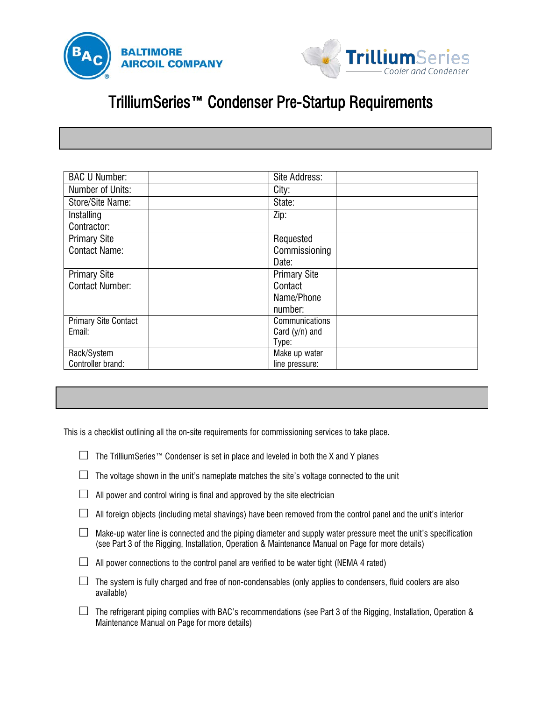



## TrilliumSeries™ Condenser Pre-Startup Requirements

 $\overline{a}$ 

| <b>BAC U Number:</b>        | Site Address:         |  |
|-----------------------------|-----------------------|--|
| Number of Units:            | City:                 |  |
| Store/Site Name:            | State:                |  |
| Installing<br>Contractor:   | Zip:                  |  |
| <b>Primary Site</b>         | Requested             |  |
| <b>Contact Name:</b>        | Commissioning         |  |
|                             | Date:                 |  |
| <b>Primary Site</b>         | <b>Primary Site</b>   |  |
| <b>Contact Number:</b>      | Contact               |  |
|                             | Name/Phone            |  |
|                             | number:               |  |
| <b>Primary Site Contact</b> | <b>Communications</b> |  |
| Email:                      | Card $(y/n)$ and      |  |
|                             | Type:                 |  |
| Rack/System                 | Make up water         |  |
| Controller brand:           | line pressure:        |  |

This is a checklist outlining all the on-site requirements for commissioning services to take place.

|  | $\Box$ The TrilliumSeries™ Condenser is set in place and leveled in both the X and Y planes |  |  |  |  |
|--|---------------------------------------------------------------------------------------------|--|--|--|--|
|--|---------------------------------------------------------------------------------------------|--|--|--|--|

| $\Box$ The voltage shown in the unit's nameplate matches the site's voltage connected to the unit |  |
|---------------------------------------------------------------------------------------------------|--|
|---------------------------------------------------------------------------------------------------|--|

|  | $\perp$ All power and control wiring is final and approved by the site electrician |  |  |  |  |  |  |  |  |  |  |
|--|------------------------------------------------------------------------------------|--|--|--|--|--|--|--|--|--|--|
|--|------------------------------------------------------------------------------------|--|--|--|--|--|--|--|--|--|--|

- $\square$  All foreign objects (including metal shavings) have been removed from the control panel and the unit's interior
- $\square$  Make-up water line is connected and the piping diameter and supply water pressure meet the unit's specification (see Part 3 of the Rigging, Installation, Operation & Maintenance Manual on Page for more details)
- $\Box$  All power connections to the control panel are verified to be water tight (NEMA 4 rated)
- $\square$  The system is fully charged and free of non-condensables (only applies to condensers, fluid coolers are also available)
- $\square$  The refrigerant piping complies with BAC's recommendations (see Part 3 of the Rigging, Installation, Operation & Maintenance Manual on Page for more details)